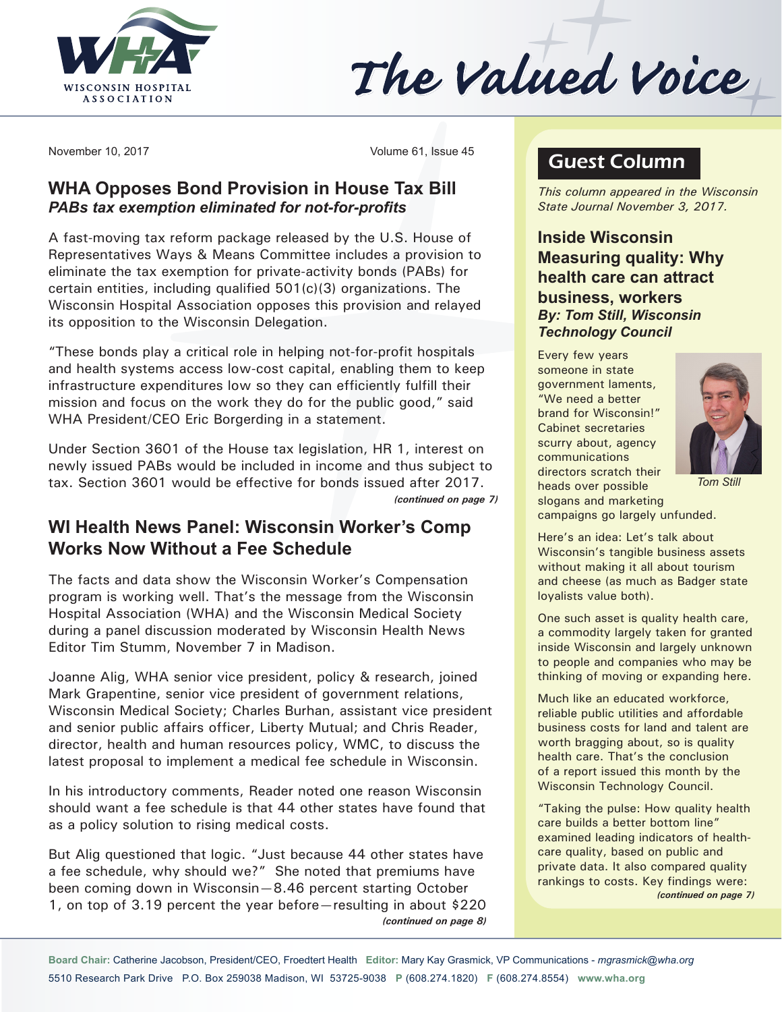

The Valued Voice

November 10, 2017 Volume 61, Issue 45

## **WHA Opposes Bond Provision in House Tax Bill** *PABs tax exemption eliminated for not-for-profits*

A fast-moving tax reform package released by the U.S. House of Representatives Ways & Means Committee includes a provision to eliminate the tax exemption for private-activity bonds (PABs) for certain entities, including qualified 501(c)(3) organizations. The Wisconsin Hospital Association opposes this provision and relayed its opposition to the Wisconsin Delegation.

"These bonds play a critical role in helping not-for-profit hospitals and health systems access low-cost capital, enabling them to keep infrastructure expenditures low so they can efficiently fulfill their mission and focus on the work they do for the public good," said WHA President/CEO Eric Borgerding in a statement.

Under Section 3601 of the House tax legislation, HR 1, interest on newly issued PABs would be included in income and thus subject to tax. Section 3601 would be effective for bonds issued after 2017. *(continued on page 7)*

# **WI Health News Panel: Wisconsin Worker's Comp Works Now Without a Fee Schedule**

The facts and data show the Wisconsin Worker's Compensation program is working well. That's the message from the Wisconsin Hospital Association (WHA) and the Wisconsin Medical Society during a panel discussion moderated by Wisconsin Health News Editor Tim Stumm, November 7 in Madison.

Joanne Alig, WHA senior vice president, policy & research, joined Mark Grapentine, senior vice president of government relations, Wisconsin Medical Society; Charles Burhan, assistant vice president and senior public affairs officer, Liberty Mutual; and Chris Reader, director, health and human resources policy, WMC, to discuss the latest proposal to implement a medical fee schedule in Wisconsin.

In his introductory comments, Reader noted one reason Wisconsin should want a fee schedule is that 44 other states have found that as a policy solution to rising medical costs.

But Alig questioned that logic. "Just because 44 other states have a fee schedule, why should we?" She noted that premiums have been coming down in Wisconsin—8.46 percent starting October 1, on top of 3.19 percent the year before—resulting in about \$220 *(continued on page 8)*

# Guest Column

*This column appeared in the Wisconsin State Journal November 3, 2017.*

**Inside Wisconsin Measuring quality: Why health care can attract business, workers** *By: Tom Still, Wisconsin Technology Council*

Every few years someone in state government laments, "We need a better brand for Wisconsin!" Cabinet secretaries scurry about, agency communications directors scratch their heads over possible slogans and marketing



*Tom Still*

campaigns go largely unfunded.

Here's an idea: Let's talk about Wisconsin's tangible business assets without making it all about tourism and cheese (as much as Badger state loyalists value both).

One such asset is quality health care, a commodity largely taken for granted inside Wisconsin and largely unknown to people and companies who may be thinking of moving or expanding here.

Much like an educated workforce, reliable public utilities and affordable business costs for land and talent are worth bragging about, so is quality health care. That's the conclusion of a report issued this month by the Wisconsin Technology Council.

"Taking the pulse: How quality health care builds a better bottom line" examined leading indicators of healthcare quality, based on public and private data. It also compared quality rankings to costs. Key findings were: *(continued on page 7)*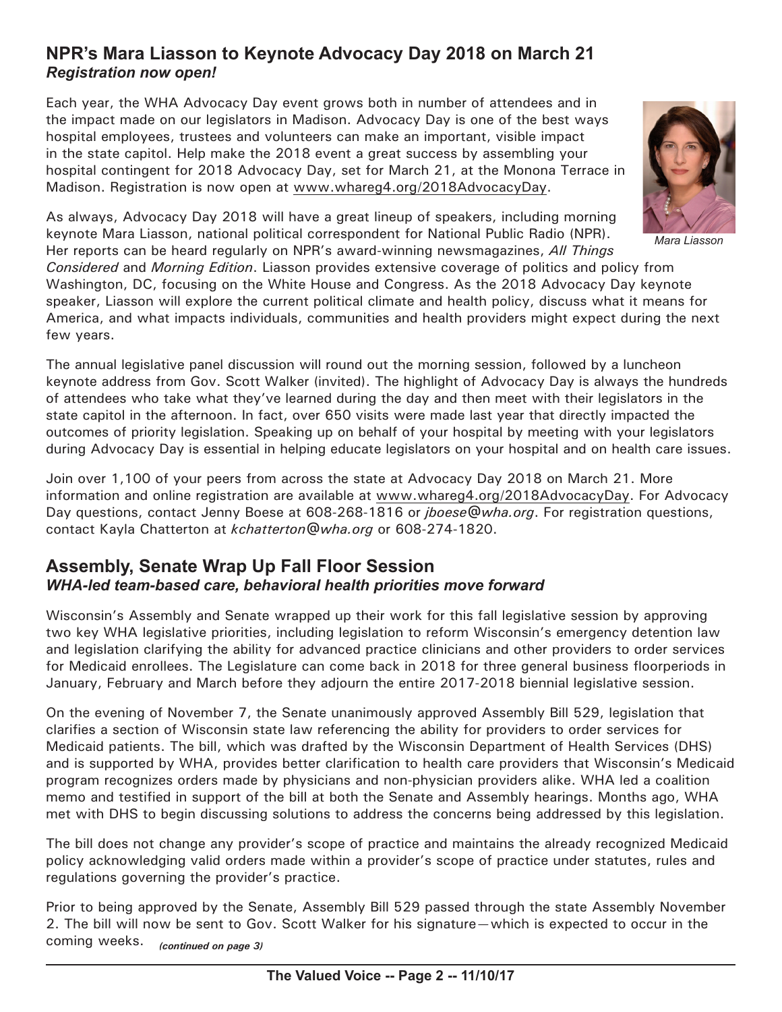# **NPR's Mara Liasson to Keynote Advocacy Day 2018 on March 21** *Registration now open!*

Each year, the WHA Advocacy Day event grows both in number of attendees and in the impact made on our legislators in Madison. Advocacy Day is one of the best ways hospital employees, trustees and volunteers can make an important, visible impact in the state capitol. Help make the 2018 event a great success by assembling your hospital contingent for 2018 Advocacy Day, set for March 21, at the Monona Terrace in Madison. Registration is now open at [www.whareg4.org/](http://www.whareg4.org/2018AdvocacyDay)2018AdvocacyDay.



*Mara Liasson*

As always, Advocacy Day 2018 will have a great lineup of speakers, including morning keynote Mara Liasson, national political correspondent for National Public Radio (NPR). Her reports can be heard regularly on NPR's award-winning newsmagazines, *All Things Considered* and *Morning Edition*. Liasson provides extensive coverage of politics and policy from Washington, DC, focusing on the White House and Congress. As the 2018 Advocacy Day keynote speaker, Liasson will explore the current political climate and health policy, discuss what it means for America, and what impacts individuals, communities and health providers might expect during the next

The annual legislative panel discussion will round out the morning session, followed by a luncheon keynote address from Gov. Scott Walker (invited). The highlight of Advocacy Day is always the hundreds of attendees who take what they've learned during the day and then meet with their legislators in the state capitol in the afternoon. In fact, over 650 visits were made last year that directly impacted the outcomes of priority legislation. Speaking up on behalf of your hospital by meeting with your legislators during Advocacy Day is essential in helping educate legislators on your hospital and on health care issues.

Join over 1,100 of your peers from across the state at Advocacy Day 2018 on March 21. More information and online registration are available at [www.whareg4.org](http://www.whareg4.org/2018AdvocacyDay)/2018AdvocacyDay. For Advocacy Day questions, contact Jenny Boese at 608-268-1816 or *[jboese@wha.org](mailto:jboese@wha.org)*. For registration questions, contact Kayla Chatterton at *[kchatterton@wha.org](mailto:kchatterton@wha.org)* or 608-274-1820.

# **Assembly, Senate Wrap Up Fall Floor Session** *WHA-led team-based care, behavioral health priorities move forward*

few years.

Wisconsin's Assembly and Senate wrapped up their work for this fall legislative session by approving two key WHA legislative priorities, including legislation to reform Wisconsin's emergency detention law and legislation clarifying the ability for advanced practice clinicians and other providers to order services for Medicaid enrollees. The Legislature can come back in 2018 for three general business floorperiods in January, February and March before they adjourn the entire 2017-2018 biennial legislative session.

On the evening of November 7, the Senate unanimously approved Assembly Bill 529, legislation that clarifies a section of Wisconsin state law referencing the ability for providers to order services for Medicaid patients. The bill, which was drafted by the Wisconsin Department of Health Services (DHS) and is supported by WHA, provides better clarification to health care providers that Wisconsin's Medicaid program recognizes orders made by physicians and non-physician providers alike. WHA led a coalition memo and testified in support of the bill at both the Senate and Assembly hearings. Months ago, WHA met with DHS to begin discussing solutions to address the concerns being addressed by this legislation.

The bill does not change any provider's scope of practice and maintains the already recognized Medicaid policy acknowledging valid orders made within a provider's scope of practice under statutes, rules and regulations governing the provider's practice.

Prior to being approved by the Senate, Assembly Bill 529 passed through the state Assembly November 2. The bill will now be sent to Gov. Scott Walker for his signature—which is expected to occur in the coming weeks. *(continued on page 3)*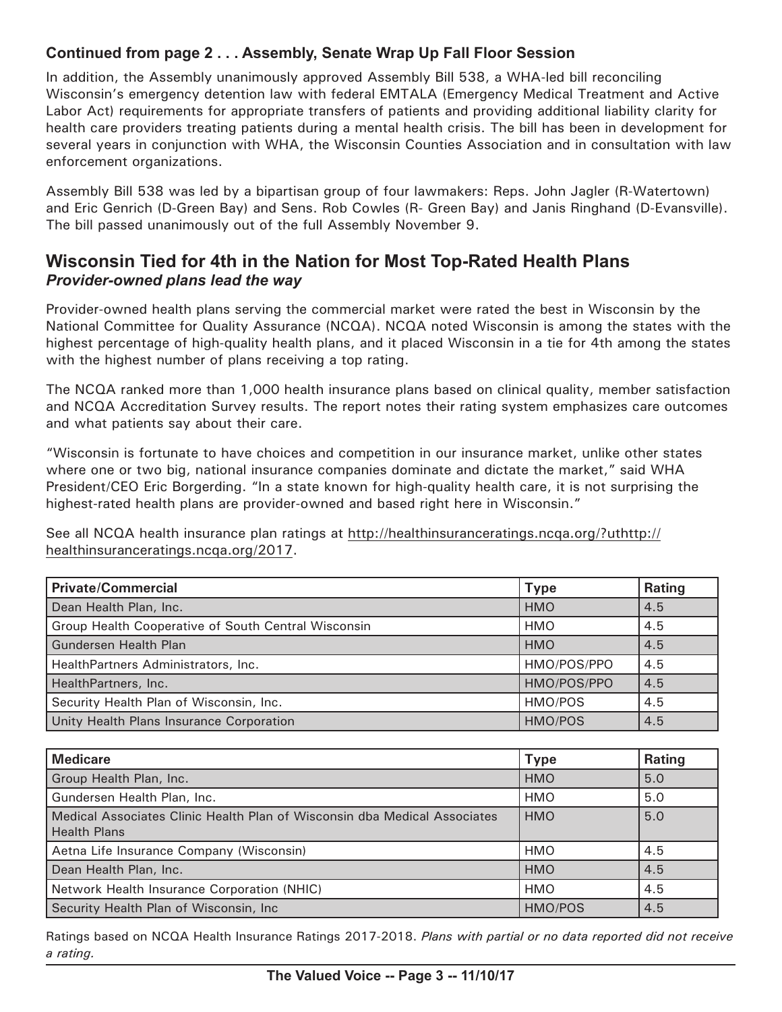## **Continued from page 2 . . . Assembly, Senate Wrap Up Fall Floor Session**

In addition, the Assembly unanimously approved Assembly Bill 538, a WHA-led bill reconciling Wisconsin's emergency detention law with federal EMTALA (Emergency Medical Treatment and Active Labor Act) requirements for appropriate transfers of patients and providing additional liability clarity for health care providers treating patients during a mental health crisis. The bill has been in development for several years in conjunction with WHA, the Wisconsin Counties Association and in consultation with law enforcement organizations.

Assembly Bill 538 was led by a bipartisan group of four lawmakers: Reps. John Jagler (R-Watertown) and Eric Genrich (D-Green Bay) and Sens. Rob Cowles (R- Green Bay) and Janis Ringhand (D-Evansville). The bill passed unanimously out of the full Assembly November 9.

# **Wisconsin Tied for 4th in the Nation for Most Top-Rated Health Plans** *Provider-owned plans lead the way*

Provider-owned health plans serving the commercial market were rated the best in Wisconsin by the National Committee for Quality Assurance (NCQA). NCQA noted Wisconsin is among the states with the highest percentage of high-quality health plans, and it placed Wisconsin in a tie for 4th among the states with the highest number of plans receiving a top rating.

The NCQA ranked more than 1,000 health insurance plans based on clinical quality, member satisfaction and NCQA Accreditation Survey results. The report notes their rating system emphasizes care outcomes and what patients say about their care.

"Wisconsin is fortunate to have choices and competition in our insurance market, unlike other states where one or two big, national insurance companies dominate and dictate the market," said WHA President/CEO Eric Borgerding. "In a state known for high-quality health care, it is not surprising the highest-rated health plans are provider-owned and based right here in Wisconsin."

See all NCQA health insurance plan ratings at [http://healthinsuranceratings.ncqa.org/?uthttp:](http://healthinsuranceratings.ncqa.org/?uthttp://healthinsuranceratings.ncqa.org/2017)// healthinsuranceratings.ncqa.org/2017.

| <b>Private/Commercial</b>                           | <b>Type</b> | <b>Rating</b> |
|-----------------------------------------------------|-------------|---------------|
| Dean Health Plan, Inc.                              | <b>HMO</b>  | 4.5           |
| Group Health Cooperative of South Central Wisconsin | <b>HMO</b>  | 4.5           |
| <b>Gundersen Health Plan</b>                        | <b>HMO</b>  | 4.5           |
| HealthPartners Administrators, Inc.                 | HMO/POS/PPO | 4.5           |
| HealthPartners, Inc.                                | HMO/POS/PPO | 4.5           |
| Security Health Plan of Wisconsin, Inc.             | HMO/POS     | 4.5           |
| Unity Health Plans Insurance Corporation            | HMO/POS     | 4.5           |

| <b>Medicare</b>                                                                                  | <b>Type</b> | <b>Rating</b> |
|--------------------------------------------------------------------------------------------------|-------------|---------------|
| Group Health Plan, Inc.                                                                          | <b>HMO</b>  | 5.0           |
| Gundersen Health Plan, Inc.                                                                      | <b>HMO</b>  | 5.0           |
| Medical Associates Clinic Health Plan of Wisconsin dba Medical Associates<br><b>Health Plans</b> | <b>HMO</b>  | 5.0           |
| Aetna Life Insurance Company (Wisconsin)                                                         | HMO         | 4.5           |
| Dean Health Plan, Inc.                                                                           | <b>HMO</b>  | 4.5           |
| Network Health Insurance Corporation (NHIC)                                                      | <b>HMO</b>  | 4.5           |
| Security Health Plan of Wisconsin, Inc.                                                          | HMO/POS     | 4.5           |

Ratings based on NCQA Health Insurance Ratings 2017-2018. *Plans with partial or no data reported did not receive a rating.*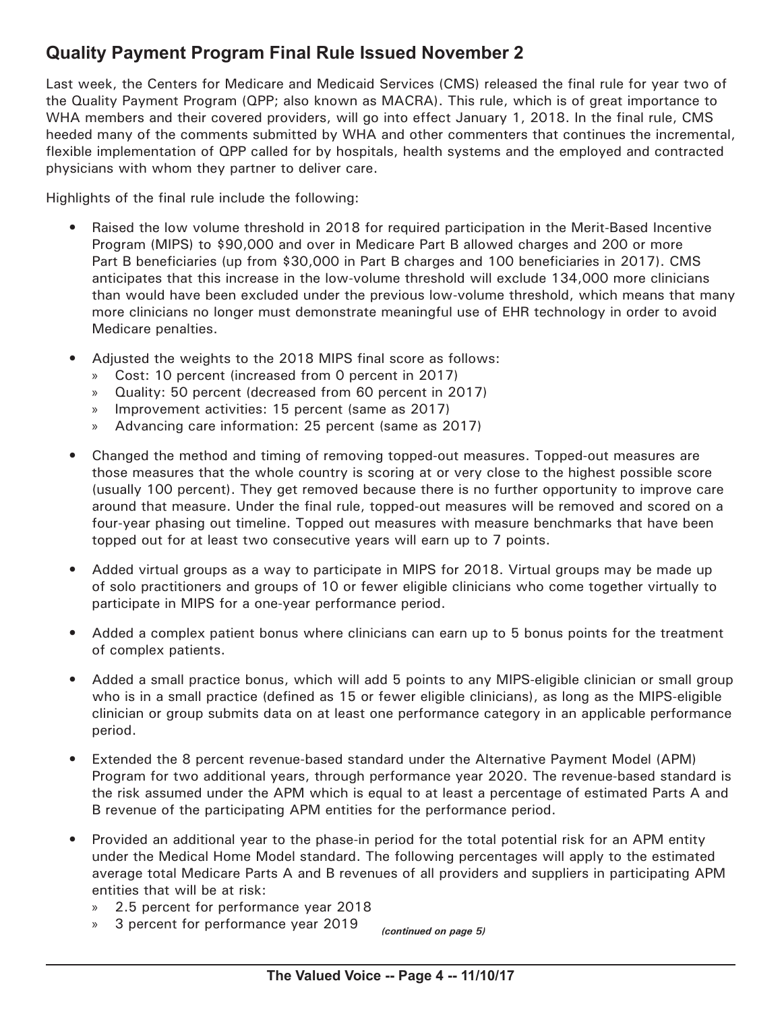# **Quality Payment Program Final Rule Issued November 2**

Last week, the Centers for Medicare and Medicaid Services (CMS) released the final rule for year two of the Quality Payment Program (QPP; also known as MACRA). This rule, which is of great importance to WHA members and their covered providers, will go into effect January 1, 2018. In the final rule, CMS heeded many of the comments submitted by WHA and other commenters that continues the incremental, flexible implementation of QPP called for by hospitals, health systems and the employed and contracted physicians with whom they partner to deliver care.

Highlights of the final rule include the following:

- Raised the low volume threshold in 2018 for required participation in the Merit-Based Incentive Program (MIPS) to \$90,000 and over in Medicare Part B allowed charges and 200 or more Part B beneficiaries (up from \$30,000 in Part B charges and 100 beneficiaries in 2017). CMS anticipates that this increase in the low-volume threshold will exclude 134,000 more clinicians than would have been excluded under the previous low-volume threshold, which means that many more clinicians no longer must demonstrate meaningful use of EHR technology in order to avoid Medicare penalties.
- Adjusted the weights to the 2018 MIPS final score as follows:
	- » Cost: 10 percent (increased from 0 percent in 2017)
	- » Quality: 50 percent (decreased from 60 percent in 2017)
	- » Improvement activities: 15 percent (same as 2017)
	- » Advancing care information: 25 percent (same as 2017)
- Changed the method and timing of removing topped-out measures. Topped-out measures are those measures that the whole country is scoring at or very close to the highest possible score (usually 100 percent). They get removed because there is no further opportunity to improve care around that measure. Under the final rule, topped-out measures will be removed and scored on a four-year phasing out timeline. Topped out measures with measure benchmarks that have been topped out for at least two consecutive years will earn up to 7 points.
- Added virtual groups as a way to participate in MIPS for 2018. Virtual groups may be made up of solo practitioners and groups of 10 or fewer eligible clinicians who come together virtually to participate in MIPS for a one-year performance period.
- Added a complex patient bonus where clinicians can earn up to 5 bonus points for the treatment of complex patients.
- Added a small practice bonus, which will add 5 points to any MIPS-eligible clinician or small group who is in a small practice (defined as 15 or fewer eligible clinicians), as long as the MIPS-eligible clinician or group submits data on at least one performance category in an applicable performance period.
- Extended the 8 percent revenue-based standard under the Alternative Payment Model (APM) Program for two additional years, through performance year 2020. The revenue-based standard is the risk assumed under the APM which is equal to at least a percentage of estimated Parts A and B revenue of the participating APM entities for the performance period.
- Provided an additional year to the phase-in period for the total potential risk for an APM entity under the Medical Home Model standard. The following percentages will apply to the estimated average total Medicare Parts A and B revenues of all providers and suppliers in participating APM entities that will be at risk:
	- » 2.5 percent for performance year 2018
	- » 3 percent for performance year 2019 *(continued on page 5)*

**The Valued Voice -- Page 4 -- 11/10/17**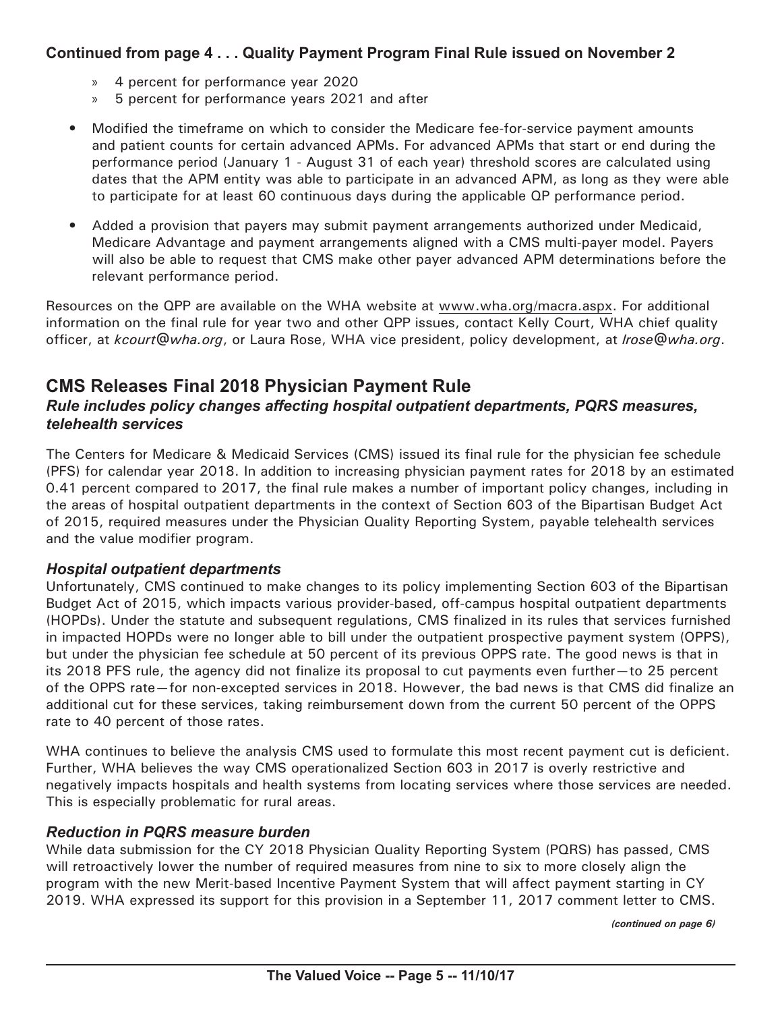## **Continued from page 4 . . . Quality Payment Program Final Rule issued on November 2**

- » 4 percent for performance year 2020
- » 5 percent for performance years 2021 and after
- Modified the timeframe on which to consider the Medicare fee-for-service payment amounts and patient counts for certain advanced APMs. For advanced APMs that start or end during the performance period (January 1 - August 31 of each year) threshold scores are calculated using dates that the APM entity was able to participate in an advanced APM, as long as they were able to participate for at least 60 continuous days during the applicable QP performance period.
- Added a provision that payers may submit payment arrangements authorized under Medicaid, Medicare Advantage and payment arrangements aligned with a CMS multi-payer model. Payers will also be able to request that CMS make other payer advanced APM determinations before the relevant performance period.

Resources on the QPP are available on the WHA website at [www.wha.org/macra.aspx.](http://www.wha.org/macra.aspx) For additional information on the final rule for year two and other QPP issues, contact Kelly Court, WHA chief quality officer, at *[kcourt@wha.org](mailto:kcourt@wha.org)*, or Laura Rose, WHA vice president, policy development, at *[lrose@wha.org](mailto:lrose@wha.org)*.

# **CMS Releases Final 2018 Physician Payment Rule**

### *Rule includes policy changes affecting hospital outpatient departments, PQRS measures, telehealth services*

The Centers for Medicare & Medicaid Services (CMS) issued its final rule for the physician fee schedule (PFS) for calendar year 2018. In addition to increasing physician payment rates for 2018 by an estimated 0.41 percent compared to 2017, the final rule makes a number of important policy changes, including in the areas of hospital outpatient departments in the context of Section 603 of the Bipartisan Budget Act of 2015, required measures under the Physician Quality Reporting System, payable telehealth services and the value modifier program.

#### *Hospital outpatient departments*

Unfortunately, CMS continued to make changes to its policy implementing Section 603 of the Bipartisan Budget Act of 2015, which impacts various provider-based, off-campus hospital outpatient departments (HOPDs). Under the statute and subsequent regulations, CMS finalized in its rules that services furnished in impacted HOPDs were no longer able to bill under the outpatient prospective payment system (OPPS), but under the physician fee schedule at 50 percent of its previous OPPS rate. The good news is that in its 2018 PFS rule, the agency did not finalize its proposal to cut payments even further—to 25 percent of the OPPS rate—for non-excepted services in 2018. However, the bad news is that CMS did finalize an additional cut for these services, taking reimbursement down from the current 50 percent of the OPPS rate to 40 percent of those rates.

WHA continues to believe the analysis CMS used to formulate this most recent payment cut is deficient. Further, WHA believes the way CMS operationalized Section 603 in 2017 is overly restrictive and negatively impacts hospitals and health systems from locating services where those services are needed. This is especially problematic for rural areas.

#### *Reduction in PQRS measure burden*

While data submission for the CY 2018 Physician Quality Reporting System (PQRS) has passed, CMS will retroactively lower the number of required measures from nine to six to more closely align the program with the new Merit-based Incentive Payment System that will affect payment starting in CY 2019. WHA expressed its support for this provision in a September 11, 2017 comment letter to CMS.

*(continued on page 6)*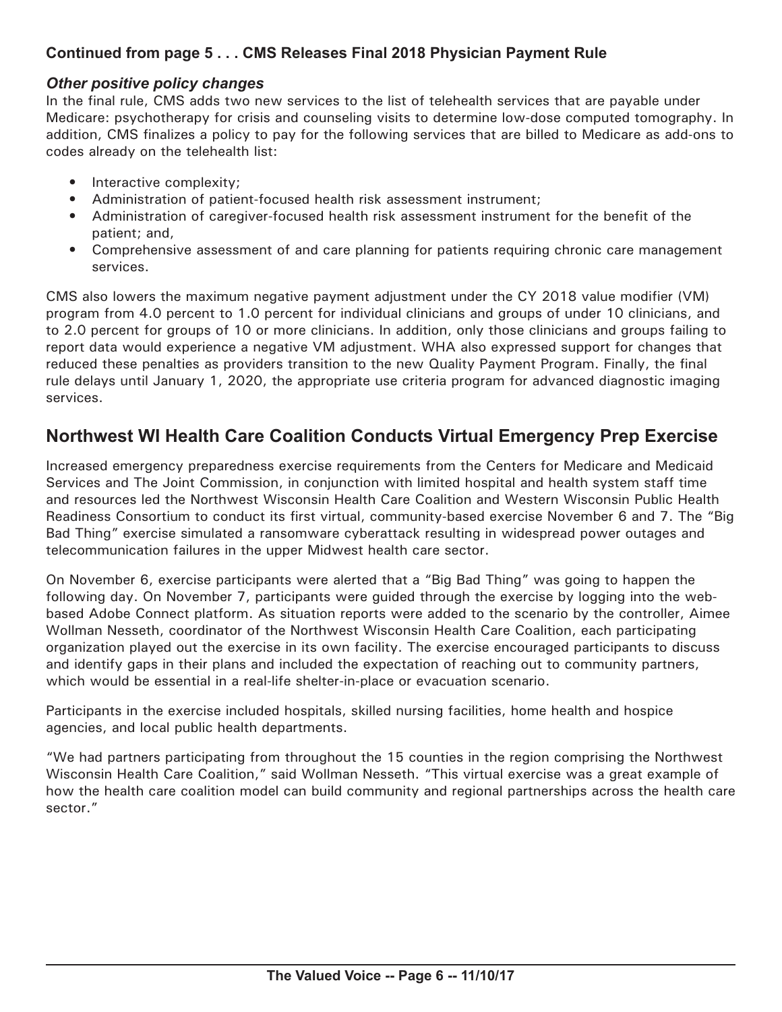## **Continued from page 5 . . . CMS Releases Final 2018 Physician Payment Rule**

#### *Other positive policy changes*

In the final rule, CMS adds two new services to the list of telehealth services that are payable under Medicare: psychotherapy for crisis and counseling visits to determine low-dose computed tomography. In addition, CMS finalizes a policy to pay for the following services that are billed to Medicare as add-ons to codes already on the telehealth list:

- Interactive complexity;
- Administration of patient-focused health risk assessment instrument;
- Administration of caregiver-focused health risk assessment instrument for the benefit of the patient; and,
- Comprehensive assessment of and care planning for patients requiring chronic care management services.

CMS also lowers the maximum negative payment adjustment under the CY 2018 value modifier (VM) program from 4.0 percent to 1.0 percent for individual clinicians and groups of under 10 clinicians, and to 2.0 percent for groups of 10 or more clinicians. In addition, only those clinicians and groups failing to report data would experience a negative VM adjustment. WHA also expressed support for changes that reduced these penalties as providers transition to the new Quality Payment Program. Finally, the final rule delays until January 1, 2020, the appropriate use criteria program for advanced diagnostic imaging services.

# **Northwest WI Health Care Coalition Conducts Virtual Emergency Prep Exercise**

Increased emergency preparedness exercise requirements from the Centers for Medicare and Medicaid Services and The Joint Commission, in conjunction with limited hospital and health system staff time and resources led the Northwest Wisconsin Health Care Coalition and Western Wisconsin Public Health Readiness Consortium to conduct its first virtual, community-based exercise November 6 and 7. The "Big Bad Thing" exercise simulated a ransomware cyberattack resulting in widespread power outages and telecommunication failures in the upper Midwest health care sector.

On November 6, exercise participants were alerted that a "Big Bad Thing" was going to happen the following day. On November 7, participants were guided through the exercise by logging into the webbased Adobe Connect platform. As situation reports were added to the scenario by the controller, Aimee Wollman Nesseth, coordinator of the Northwest Wisconsin Health Care Coalition, each participating organization played out the exercise in its own facility. The exercise encouraged participants to discuss and identify gaps in their plans and included the expectation of reaching out to community partners, which would be essential in a real-life shelter-in-place or evacuation scenario.

Participants in the exercise included hospitals, skilled nursing facilities, home health and hospice agencies, and local public health departments.

"We had partners participating from throughout the 15 counties in the region comprising the Northwest Wisconsin Health Care Coalition," said Wollman Nesseth. "This virtual exercise was a great example of how the health care coalition model can build community and regional partnerships across the health care sector."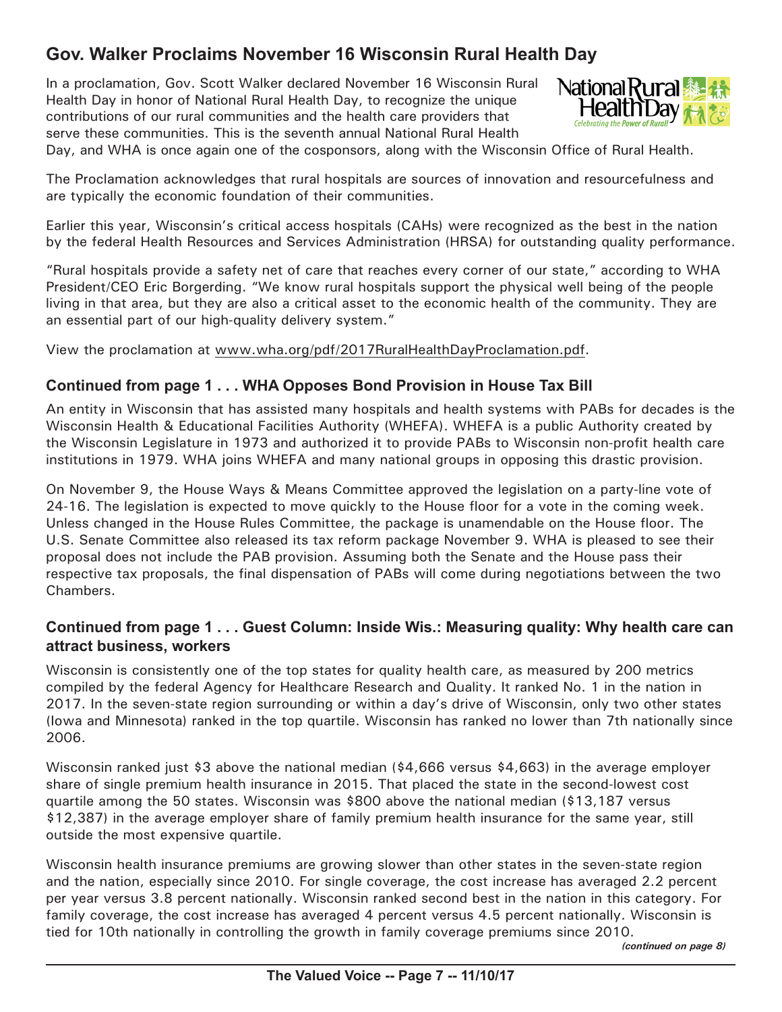# **Gov. Walker Proclaims November 16 Wisconsin Rural Health Day**

In a proclamation, Gov. Scott Walker declared November 16 Wisconsin Rural Health Day in honor of National Rural Health Day, to recognize the unique contributions of our rural communities and the health care providers that serve these communities. This is the seventh annual National Rural Health



Day, and WHA is once again one of the cosponsors, along with the Wisconsin Office of Rural Health.

The Proclamation acknowledges that rural hospitals are sources of innovation and resourcefulness and are typically the economic foundation of their communities.

Earlier this year, Wisconsin's critical access hospitals (CAHs) were recognized as the best in the nation by the federal Health Resources and Services Administration (HRSA) for outstanding quality performance.

"Rural hospitals provide a safety net of care that reaches every corner of our state," according to WHA President/CEO Eric Borgerding. "We know rural hospitals support the physical well being of the people living in that area, but they are also a critical asset to the economic health of the community. They are an essential part of our high-quality delivery system."

View the proclamation at [www.wha.org/pdf/2017RuralHealthDayProclamation.pdf](http://www.wha.org/pdf/2017RuralHealthDayProclamation.pdf).

#### **Continued from page 1 . . . WHA Opposes Bond Provision in House Tax Bill**

An entity in Wisconsin that has assisted many hospitals and health systems with PABs for decades is the Wisconsin Health & Educational Facilities Authority (WHEFA). WHEFA is a public Authority created by the Wisconsin Legislature in 1973 and authorized it to provide PABs to Wisconsin non-profit health care institutions in 1979. WHA joins WHEFA and many national groups in opposing this drastic provision.

On November 9, the House Ways & Means Committee approved the legislation on a party-line vote of 24-16. The legislation is expected to move quickly to the House floor for a vote in the coming week. Unless changed in the House Rules Committee, the package is unamendable on the House floor. The U.S. Senate Committee also released its tax reform package November 9. WHA is pleased to see their proposal does not include the PAB provision. Assuming both the Senate and the House pass their respective tax proposals, the final dispensation of PABs will come during negotiations between the two Chambers.

#### **Continued from page 1 . . . Guest Column: Inside Wis.: Measuring quality: Why health care can attract business, workers**

Wisconsin is consistently one of the top states for quality health care, as measured by 200 metrics compiled by the federal Agency for Healthcare Research and Quality. It ranked No. 1 in the nation in 2017. In the seven-state region surrounding or within a day's drive of Wisconsin, only two other states (Iowa and Minnesota) ranked in the top quartile. Wisconsin has ranked no lower than 7th nationally since 2006.

Wisconsin ranked just \$3 above the national median (\$4,666 versus \$4,663) in the average employer share of single premium health insurance in 2015. That placed the state in the second-lowest cost quartile among the 50 states. Wisconsin was \$800 above the national median (\$13,187 versus \$12,387) in the average employer share of family premium health insurance for the same year, still outside the most expensive quartile.

Wisconsin health insurance premiums are growing slower than other states in the seven-state region and the nation, especially since 2010. For single coverage, the cost increase has averaged 2.2 percent per year versus 3.8 percent nationally. Wisconsin ranked second best in the nation in this category. For family coverage, the cost increase has averaged 4 percent versus 4.5 percent nationally. Wisconsin is tied for 10th nationally in controlling the growth in family coverage premiums since 2010.

*(continued on page 8)*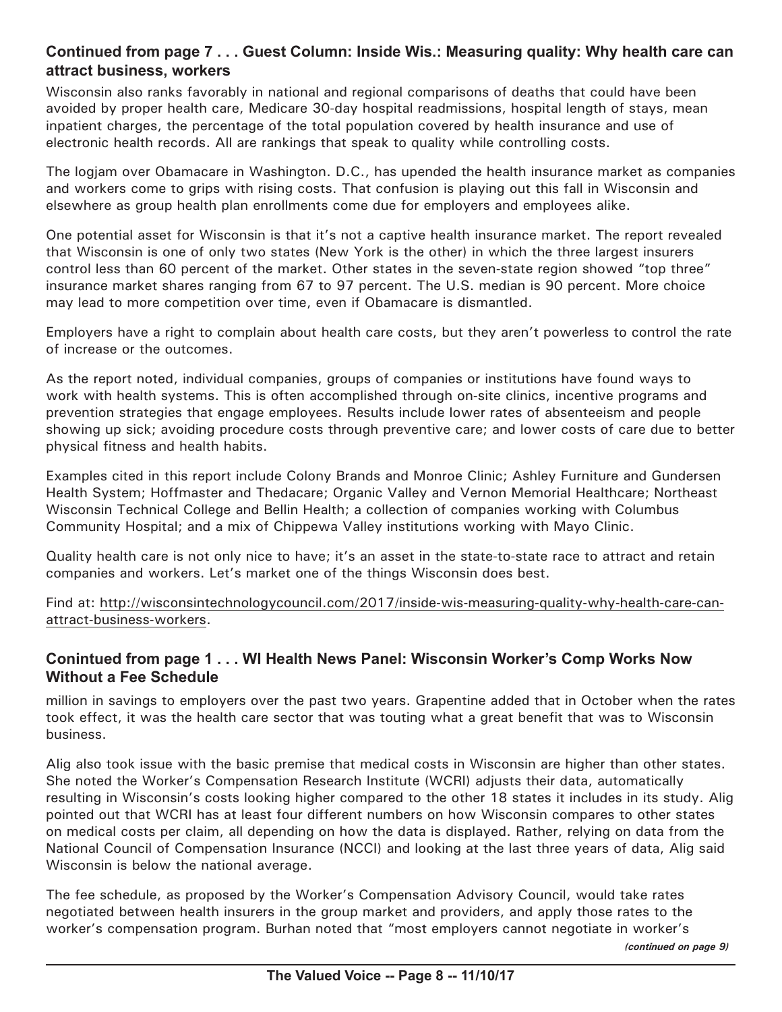#### **Continued from page 7 . . . Guest Column: Inside Wis.: Measuring quality: Why health care can attract business, workers**

Wisconsin also ranks favorably in national and regional comparisons of deaths that could have been avoided by proper health care, Medicare 30-day hospital readmissions, hospital length of stays, mean inpatient charges, the percentage of the total population covered by health insurance and use of electronic health records. All are rankings that speak to quality while controlling costs.

The logjam over Obamacare in Washington. D.C., has upended the health insurance market as companies and workers come to grips with rising costs. That confusion is playing out this fall in Wisconsin and elsewhere as group health plan enrollments come due for employers and employees alike.

One potential asset for Wisconsin is that it's not a captive health insurance market. The report revealed that Wisconsin is one of only two states (New York is the other) in which the three largest insurers control less than 60 percent of the market. Other states in the seven-state region showed "top three" insurance market shares ranging from 67 to 97 percent. The U.S. median is 90 percent. More choice may lead to more competition over time, even if Obamacare is dismantled.

Employers have a right to complain about health care costs, but they aren't powerless to control the rate of increase or the outcomes.

As the report noted, individual companies, groups of companies or institutions have found ways to work with health systems. This is often accomplished through on-site clinics, incentive programs and prevention strategies that engage employees. Results include lower rates of absenteeism and people showing up sick; avoiding procedure costs through preventive care; and lower costs of care due to better physical fitness and health habits.

Examples cited in this report include Colony Brands and Monroe Clinic; Ashley Furniture and Gundersen Health System; Hoffmaster and Thedacare; Organic Valley and Vernon Memorial Healthcare; Northeast Wisconsin Technical College and Bellin Health; a collection of companies working with Columbus Community Hospital; and a mix of Chippewa Valley institutions working with Mayo Clinic.

Quality health care is not only nice to have; it's an asset in the state-to-state race to attract and retain companies and workers. Let's market one of the things Wisconsin does best.

Find at: [http://wisconsintechnologycouncil.com/2017/inside-](http://wisconsintechnologycouncil.com/2017/inside-wis-measuring-quality-why-health-care-can-attract-business-workers)wis-measuring-quality-why-health-care-canattract-business-workers.

#### **Conintued from page 1 . . . WI Health News Panel: Wisconsin Worker's Comp Works Now Without a Fee Schedule**

million in savings to employers over the past two years. Grapentine added that in October when the rates took effect, it was the health care sector that was touting what a great benefit that was to Wisconsin business.

Alig also took issue with the basic premise that medical costs in Wisconsin are higher than other states. She noted the Worker's Compensation Research Institute (WCRI) adjusts their data, automatically resulting in Wisconsin's costs looking higher compared to the other 18 states it includes in its study. Alig pointed out that WCRI has at least four different numbers on how Wisconsin compares to other states on medical costs per claim, all depending on how the data is displayed. Rather, relying on data from the National Council of Compensation Insurance (NCCI) and looking at the last three years of data, Alig said Wisconsin is below the national average.

The fee schedule, as proposed by the Worker's Compensation Advisory Council, would take rates negotiated between health insurers in the group market and providers, and apply those rates to the worker's compensation program. Burhan noted that "most employers cannot negotiate in worker's

*(continued on page 9)*